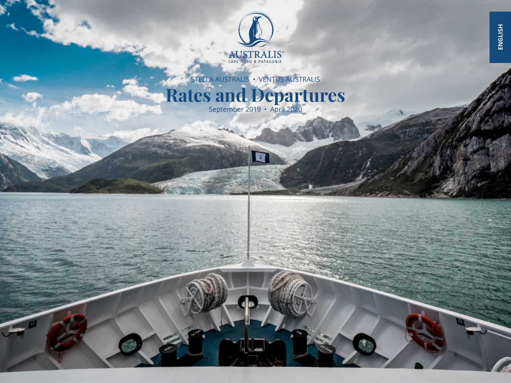

STELLA AUSTRALIS • VENTUS AUSTRALIS

## **Rates and Departures**

Ø

September 2019 • April 2020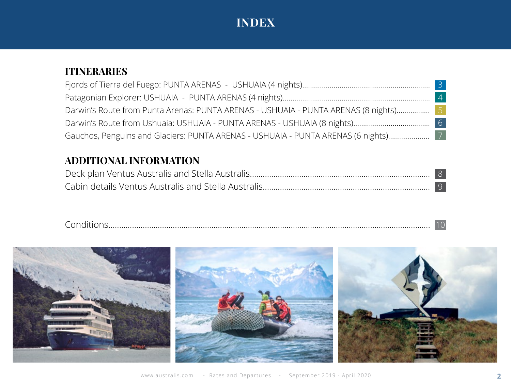## **INDEX**

## **ITINERARIES**

|                                                                                      | $\overline{3}$ |
|--------------------------------------------------------------------------------------|----------------|
|                                                                                      |                |
| Darwin's Route from Punta Arenas: PUNTA ARENAS - USHUAIA - PUNTA ARENAS (8 nights) 5 |                |
|                                                                                      |                |
| Gauchos, Penguins and Glaciers: PUNTA ARENAS - USHUAIA - PUNTA ARENAS (6 nights)     |                |

## **ADDITIONAL INFORMATION**

| . |  |
|---|--|
|   |  |

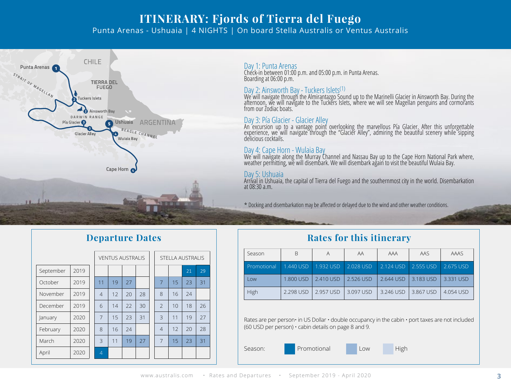### **ITINERARY: Fjords of Tierra del Fuego** Punta Arenas - Ushuaia | 4 NIGHTS | On board Stella Australis or Ventus Australis



### Day 1: Punta Arenas

Check-in between 01:00 p.m. and 05:00 p.m. in Punta Arenas. Boarding at 06:00 p.m.

Day 2: Ainsworth Bay - Tuckers Islets<sup>(1)</sup><br>We will navigate through the Almirantazgo Sound up to the Marinelli Glacier in Ainsworth Bay. During the afternoon, we will navigate to the Tuckers Islets, where we will see Magellan penguins and cormorants from our Zodiac boats.

#### Day 3: Pía Glacier - Glacier Alley

An excursion up to a vantage point overlooking the marvellous Pía Glacier. After this unforgettable experience, we will navigate through the "Glacier Alley", admiring the beautiful scenery while sipping delicious cocktails.

#### Day 4: Cape Horn - Wulaia Bay

We will navigate along the Murray Channel and Nassau Bay up to the Cape Horn National Park where, weather perm̃itting, wĕ will disembark. We will disembark aģain to visit the beautiful Wulaia Bay.

#### Day 5: Ushuaia

Arrival in Ushuaia, the capital of Tierra del Fuego and the southernmost city in the world. Disembarkation at 08:30 a.m.

\* Docking and disembarkation may be affected or delayed due to the wind and other weather conditions.

|           |      |  |                | <b>VENTUS AUSTRALIS</b> |    |    |  | <b>STELLA AUSTRALIS</b> |    |    |    |  |
|-----------|------|--|----------------|-------------------------|----|----|--|-------------------------|----|----|----|--|
| September | 2019 |  |                |                         |    |    |  |                         |    | 21 | 29 |  |
| October   | 2019 |  | 11             | 19                      | 27 |    |  | $\overline{7}$          | 15 | 23 | 31 |  |
| November  | 2019 |  | $\overline{4}$ | 12                      | 20 | 28 |  | 8                       | 16 | 24 |    |  |
| December  | 2019 |  | 6              | 14                      | 22 | 30 |  | $\overline{2}$          | 10 | 18 | 26 |  |
| January   | 2020 |  | $\overline{7}$ | 15                      | 23 | 31 |  | 3                       | 11 | 19 | 27 |  |
| February  | 2020 |  | 8              | 16                      | 24 |    |  | $\overline{4}$          | 12 | 20 | 28 |  |
| March     | 2020 |  | 3              | 11                      | 19 | 27 |  | $\overline{7}$          | 15 | 23 | 31 |  |
| April     | 2020 |  | $\overline{4}$ |                         |    |    |  |                         |    |    |    |  |

### **Departure Dates Rates for this itinerary**

| Season      | <sub>B</sub> | A         |           | AAA       | AAS       | AAAS      |
|-------------|--------------|-----------|-----------|-----------|-----------|-----------|
| Promotional | 1.440 USD    | 1.932 USD | 2.028 USD | 2.124 USD | 2.555 USD | 2.675 USD |
| l ow        | 1.800 USD    | 2.410 USD | 2.526 USD | 2.644 USD | 3.183 USD | 3.331 USD |
| High        | 2.298 USD    | 2.957 USD | 3.097 USD | 3.246 USD | 3.867 USD | 4.054 USD |

Rates are per person• in US Dollar • double occupancy in the cabin • port taxes are not included (60 USD per person) • cabin details on page 8 and 9.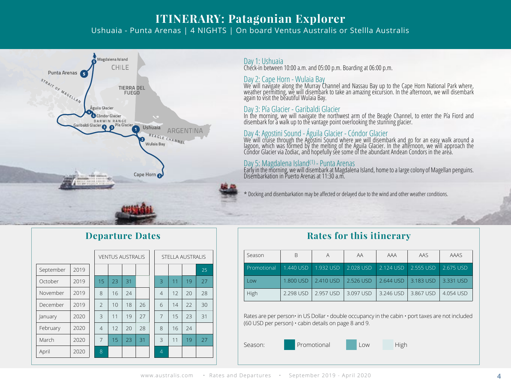## **ITINERARY: Patagonian Explorer**

Ushuaia - Punta Arenas | 4 NIGHTS | On board Ventus Australis or Stellla Australis



#### Day 1: Ushuaia

Check-in between 10:00 a.m. and 05:00 p.m. Boarding at 06:00 p.m.

#### Day 2: Cape Horn - Wulaia Bay

We will navigate along the Murray Channel and Nassau Bay up to the Cape Horn National Park where, weather permitting, we will disembark to take an amazing excursion. In the afternoon, we will disembark again to visit the beautiful Wulaia Bay.

Day 3: Pía Glacier - Garibaldi Glacier In the morning, we will navigate the northwest arm of the Beagle Channel, to enter the Pía Fiord and disembark for a walk up to the vantage point overlooking the stunning glacier.

### Day 4: Agostini Sound - Águila Glacier - Cóndor Glacier

We will cruise through the Agostini Sound where we will disembark and go for an easy walk around a<br>lagoon, which was formed by the melting of the Águila Glacier. In the afternoon, we will approach the Condor Glacier via Zodiac, and hopefully see some of the abundant Andean Condors in the area.

### Day 5: Magdalena Island(1) - Punta Arenas

Early in the morning, we will disembark at Magdalena Island, home to a large colony of Magellan penguins. Disembarkation in Puerto Arenas at 11:30 a.m.

#### \* Docking and disembarkation may be affected or delayed due to the wind and other weather conditions.

### **Departure Dates**

|           |      | <b>VENTUS AUSTRALIS</b>  |    |    |    | <b>STELLA AUSTRALIS</b> |    |    |    |
|-----------|------|--------------------------|----|----|----|-------------------------|----|----|----|
| September | 2019 |                          |    |    |    |                         |    |    | 25 |
| October   | 2019 | 15                       | 23 | 31 |    | 3                       | 11 | 19 | 27 |
| November  | 2019 | 8                        | 16 | 24 |    | 4                       | 12 | 20 | 28 |
| December  | 2019 | $\overline{\phantom{0}}$ | 10 | 18 | 26 | 6                       | 14 | 22 | 30 |
| January   | 2020 | 3                        | 11 | 19 | 27 | 7                       | 15 | 23 | 31 |
| February  | 2020 | $\overline{4}$           | 12 | 20 | 28 | 8                       | 16 | 74 |    |
| March     | 2020 | $\overline{7}$           | 15 | 23 | 31 | 3                       | 11 | 19 | 27 |
| April     | 2020 | 8                        |    |    |    | $\overline{4}$          |    |    |    |

### **Rates for this itinerary**

| Season      | B         | A         | ΑA        | AAA       | AAS       | AAAS      |
|-------------|-----------|-----------|-----------|-----------|-----------|-----------|
| Promotional | 1.440 USD | 1.932 USD | 2.028 USD | 2.124 USD | 2.555 USD | 2.675 USD |
| l ow        | 1.800 USD | 2.410 USD | 2.526 USD | 2.644 USD | 3.183 USD | 3.331 USD |
| High        | 2.298 USD | 2.957 USD | 3.097 USD | 3.246 USD | 3.867 USD | 4.054 USD |

Rates are per person• in US Dollar • double occupancy in the cabin • port taxes are not included (60 USD per person) • cabin details on page 8 and 9.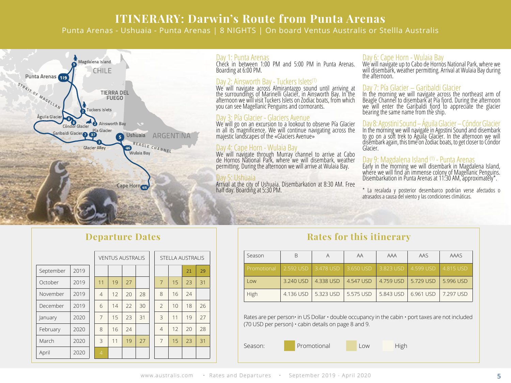## **ITINERARY: Darwin's Route from Punta Arenas**

Punta Arenas - Ushuaia - Punta Arenas | 8 NIGHTS | On board Ventus Australis or Stellla Australis



#### Day 1: Punta Arenas

Check in between 1:00 PM and 5:00 PM in Punta Arenas. Boarding at 6:00 PM.

#### Day 2: Ainsworth Bay - Tuckers Islets<sup>(1)</sup>

We will navigate across Almirantazgo sound until arriving at the surroundings of Marinelli Glacier, in Ainsworth Bay. In the afternoon we will visit Tuckers Islets on Zodiac boats, from which you can see Magellanic Penguins and cormorants.

#### Day 3: Pía Glacier - Glaciers Avenue

We will go on an excursion to a lookout to observe Pía Glacier in all its magnificence. We will continue navigating across the majestic landscapes of the «Glaciers Avenue»

### Day 4: Cape Horn - Wulaia Bay

We will navigate through Murray channel to arrive at Cabo de Hornos National Park, where we will disembark, weather permitting. During the afternoon we will arrive at Wulaia Bay.

#### Day 5: Ushuaia

Arrival at the city of Ushuaia. Disembarkation at 8:30 AM. Free half day. Boarding at 5:30 PM.

#### Day 6: Cape Horn - Wulaia Bay

We will navigate up to Cabo de Hornos National Park, where we will disembark, weather permitting. Arrival at Wulaia Bay during the afternoon.

#### Day 7: Pía Glacier – Garibaldi Glacier

In the morning we will navigate across the northeast arm of Beagle Channel to disembark at Pía fjord. During the afternoon we will enter the Garibaldi fjord to appreciate the glacier bearing the same name from the ship.

#### Day 8: Agostini Sound – Águila Glacier – Cóndor Glacier

In the morning we will navigate in Agostini Sound and disembark to go on a soft trek to Águila Glacier. In the afternoon we will disembark again, this time on Zodiac boats, to get closer to Cóndor Glacier.

#### Day 9: Magdalena Island (1) - Punta Arenas

Early in the morning we will disembark in Magdalena Island, where we will find an immense colony of Magellanic Penguins. Disembarkation in Punta Arenas at 11:30 AM, approximately\*.

\* La recalada y posterior desembarco podrían verse afectados o atrasados a causa del viento y las condiciones climáticas.

### **Departure Dates**

|           |      |                | <b>VENTUS AUSTRALIS</b> |    |    |    | <b>STELLA AUSTRALIS</b> |    |    |    |
|-----------|------|----------------|-------------------------|----|----|----|-------------------------|----|----|----|
| September | 2019 |                |                         |    |    |    |                         |    | 21 | 29 |
| October   | 2019 | 11             |                         | 19 | 27 |    | $\overline{7}$          | 15 | 23 | 31 |
| November  | 2019 | $\overline{4}$ |                         | 12 | 20 | 28 | 8                       | 16 | 24 |    |
| December  | 2019 | 6              |                         | 14 | 22 | 30 | $\mathcal{P}$           | 10 | 18 | 26 |
| January   | 2020 | 7              |                         | 15 | 23 | 31 | 3                       | 11 | 19 | 27 |
| February  | 2020 | 8              |                         | 16 | 24 |    | 4                       | 12 | 20 | 28 |
| March     | 2020 | 3              |                         | 11 | 19 | 27 | 7                       | 15 | 23 | 31 |
| April     | 2020 | 4              |                         |    |    |    |                         |    |    |    |

### **Rates for this itinerary**

| Season      |                     |           | AA                    | AAA       | AAS       | AAAS      |
|-------------|---------------------|-----------|-----------------------|-----------|-----------|-----------|
| Promotional | 2.592 USD 3.478 USD |           | $\parallel$ 3.650 USD | 3.823 USD | 4.599 USD | 4.815 USD |
| Low         | 3.240 USD           | 4.338 USD | 4.547 USD             | 4.759 USD | 5.729 USD | 5.996 USD |
| High        | 4.136 USD           | 5.323 USD | 5.575 USD             | 5.843 USD | 6.961 USD | 7.297 USD |

Rates are per person $\cdot$  in US Dollar  $\cdot$  double occupancy in the cabin  $\cdot$  port taxes are not included (70 USD per person) • cabin details on page 8 and 9.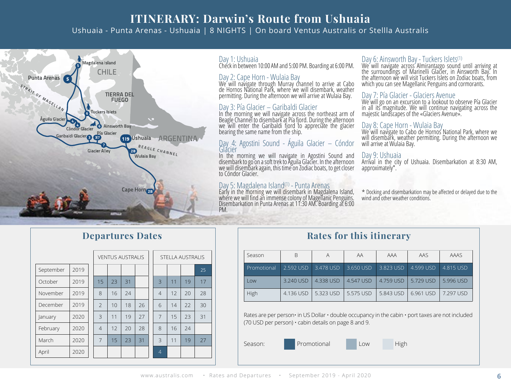## **ITINERARY: Darwin's Route from Ushuaia** Ushuaia - Punta Arenas - Ushuaia | 8 NIGHTS | On board Ventus Australis or Stellla Australis



### Day 1: Ushuaia

Check in between 10:00 AM and 5:00 PM. Boarding at 6:00 PM.

Day 2: Cape Horn - Wulaia Bay We will navigate through Murray channel to arrive at Cabo de Hornos National Park, where we will disembark, weather permitting. During the afternoon we will arrive at Wulaia Bay.

### Day 3: Pía Glacier – Garibaldi Glacier

In the morning we will navigate across the northeast arm of Beagle Channel to disembark at Pía fjord. During the afternoon we will enter the Garibaldi fjord to appreciate the glacier bearing the same name from the ship.

# Day 4: Agostini Sound - Águila Glacier – Cóndor<br>Glacier<br>In the morning we will navigate in Agostini Sound and

disembark to go on a soft trek to Águila Glacier. In the afternoon we will disembark again, this time on Zodiac boats, to get closer to Cóndor Glacier.

Day 5: Magdalena Island(1) - Punta Arenas Early in the morning we will disembark in Magdalena Island, where we will find an immense colony of Magellanic Penguins. Disembarkation in Punta Arenas at 11:30 AM. Boarding at 6:00 PM.

Day 6: Ainsworth Bay - Tuckers Islets(1) We will navigate across Almirantazgo sound until arriving at the surroundings of Marinelli Glacier, in Ainsworth Bay. In the afternoon we will visit Tuckers Islets on Zodiac boats, from which you can see Magellanic Penguins and cormorants.

#### Day 7: Pía Glacier - Glaciers Avenue

We will go on an excursion to a lookout to observe Pía Glacier in all its magnitude. We will continue navigating across the majestic landscapes of the «Glaciers Avenue».

#### Day 8: Cape Horn - Wulaia Bay

wind and other weather conditions.

We will navigate to Cabo de Hornos National Park, where we we will disembark, weather permitting. During the afternoon we will arrive at Wulaia Bay.

#### Day 9: Ushuaia

Arrival in the city of Ushuaia. Disembarkation at 8:30 AM, approximately\*.

\* Docking and disembarkation may be affected or delayed due to the

### **Departures Dates**

|           |      |                | <b>VENTUS AUSTRALIS</b> |    |    |    | <b>STELLA AUSTRALIS</b> |    |    |    |
|-----------|------|----------------|-------------------------|----|----|----|-------------------------|----|----|----|
| September | 2019 |                |                         |    |    |    |                         |    |    | 25 |
| October   | 2019 | 15             |                         | 23 | 31 |    | 3                       | 11 | 19 | 17 |
| November  | 2019 | 8              |                         | 16 | 24 |    | $\overline{4}$          | 12 | 20 | 28 |
| December  | 2019 | $\mathcal{P}$  |                         | 10 | 18 | 26 | 6                       | 14 | 22 | 30 |
| January   | 2020 | 3              |                         | 11 | 19 | 27 | 7                       | 15 | 23 | 31 |
| February  | 2020 | $\overline{4}$ |                         | 12 | 20 | 28 | 8                       | 16 | 24 |    |
| March     | 2020 | $\overline{7}$ |                         | 15 | 23 | 31 | 3                       | 11 | 19 | 27 |
| April     | 2020 |                |                         |    |    |    | $\overline{4}$          |    |    |    |

| Rates for this itinerary<br>Season<br>AAS<br>AAA<br>ΑA |             |                    |                                      |             |           |                                     |
|--------------------------------------------------------|-------------|--------------------|--------------------------------------|-------------|-----------|-------------------------------------|
|                                                        |             |                    |                                      |             |           | <b>AAAS</b>                         |
| <b>DESCRIPTION</b>                                     | $2.5021100$ | $2.470 \times 100$ | $\begin{array}{c} \n \big\downarrow$ | $2.022110D$ | 1.500110D | $A$ $\cap$ $A$ $\sqsubset$ $\sqcup$ |

| Promotional 2.592 USD 3.478 USD 3.650 USD 3.823 USD 4.599 USD 4.815 USD |                                   |                                                                       |                                   |  |
|-------------------------------------------------------------------------|-----------------------------------|-----------------------------------------------------------------------|-----------------------------------|--|
| Low                                                                     |                                   | 3.240 USD   4.338 USD   4.547 USD   4.759 USD   5.729 USD   5.996 USD |                                   |  |
| High                                                                    | 4.136 USD 1 5.323 USD 1 5.575 USD |                                                                       | 5.843 USD   6.961 USD   7.297 USD |  |

Rates are per person• in US Dollar  $\cdot$  double occupancy in the cabin  $\cdot$  port taxes are not included (70 USD per person) • cabin details on page 8 and 9.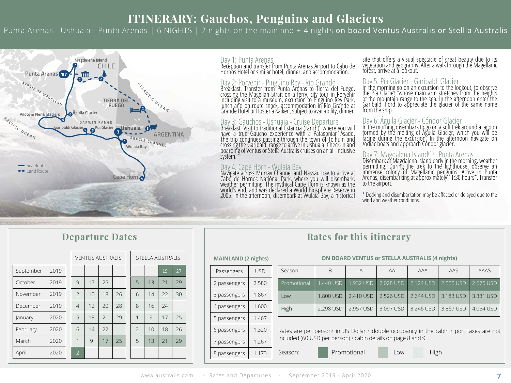## **ITINERARY: Gauchos, Penguins and Glaciers**

Punta Arenas - Ushuaia - Punta Arenas | 6 NIGHTS | 2 nights on the mainland + 4 nights on board Ventus Australis or Stellla Australis



#### Day 1: Punta Arenas

Reception and transfer from Punta Arenas Airport to Cabo de Hornos Hotel or similar hotel, dinner, and accommodation.

Day 2: Porvenir - Pingüino Rey - Río Grande<br>Breakfast. Transfer from Punta Arenas to Tierra del Fuego,<br>crossing the Magellan Strait on a ferry, city tour in Porvenir<br>including visit to a museum, excursion to Pingüino Rey P

Day 3: Gauchos - Ushuaia - Cruise Departure<br>Breakfast. Visit to traditional Estancia (ranch), where you will<br>have a true Gaucho experience with a Patagonian Asado.<br>The trip continues passing through the town of Tolhuin and system.

Day 4: Cape Horn - Wulaia Bay<br>Navigate across Murray Channel and Nassau bay to arrive at<br>Cabo de Hornos National Park, where you will disembark,<br>weather permitting. The mythical Cape Horn is known as the<br>world's end, and w 2005. In the afternoon, disembark at Wulaia Bay, a historical

site that offers a visual spectacle of great beauty due to its vegetation and geography. After a walk through the Magellanic forest, arrive at a lookout.

Day 5: Pía Glacier - Garibaldi Glacier<br>In the morning go on an excursion to the lookout, to observe<br>the Pía Glacier, whose main arm stretches from the heights<br>of the mountain range to the sea. In the afternoon enter the<br>Ga from the ship.

#### Day 6: Águila Glacier - Cóndor Glacier

In the morning disembark to go on a soft trek around a lagoon<br>formed by the melting of Águila Glacier, which you will be<br>facing during the excursion. In the afternoon navigate on<br>zodiac boats and approach Condor glacier.

#### Day 7: Magdalena Island(1) - Punta Arenas

Disémbark at Magdalena Island early in the morning, weather<br>permitting. During the trek to the lighthouse, observe an<br>immense colony of Magellanic penguins. Arrive in Punta<br>Arenas, disembarking at approximately 11:30 hours to the airport.

\* Docking and disembarkation may be affected or delayed due to the wind and weather conditions.

| <b>Departure Dates</b> |      |  |                         |    |    |    |  |                  |               |    |    |
|------------------------|------|--|-------------------------|----|----|----|--|------------------|---------------|----|----|
|                        |      |  | <b>VENTUS AUSTRALIS</b> |    |    |    |  | STELLA AUSTRALIS |               |    |    |
| September              | 2019 |  |                         |    |    |    |  |                  |               | 19 | 27 |
| October                | 2019 |  | Q                       | 17 | 25 |    |  | 5                | 13            | 21 | 29 |
| November               | 2019 |  | $\mathcal{P}$           | 10 | 18 | 26 |  | 6                | 14            | 22 | 30 |
| December               | 2019 |  | $\overline{4}$          | 12 | 20 | 28 |  | 8                | 16            | 24 |    |
| January                | 2020 |  | 5                       | 13 | 21 | 29 |  | $\overline{1}$   | $\mathcal{Q}$ | 17 | 25 |
| February               | 2020 |  | 6                       | 14 | 22 |    |  | $\mathfrak{D}$   | 10            | 18 | 26 |
| March                  | 2020 |  | 1                       | 9  | 17 | 25 |  | 5                | 13            | 21 | 29 |
| April                  | 2020 |  | $\overline{2}$          |    |    |    |  |                  |               |    |    |

### **Rates for this itinerary**

#### **MAINLAND (2 nights)**

| USD<br>Passengers<br>2.580<br>2 passengers<br>1.867<br>3 passengers<br>1.600<br>4 passengers<br>1.467<br>5 passengers<br>1.320<br>6 passengers<br>1.267<br>7 passengers<br>1.173<br>8 passengers |  |
|--------------------------------------------------------------------------------------------------------------------------------------------------------------------------------------------------|--|
|                                                                                                                                                                                                  |  |
|                                                                                                                                                                                                  |  |
|                                                                                                                                                                                                  |  |
|                                                                                                                                                                                                  |  |
|                                                                                                                                                                                                  |  |
|                                                                                                                                                                                                  |  |
|                                                                                                                                                                                                  |  |
|                                                                                                                                                                                                  |  |

#### **ON BOARD VENTUS or STELLA AUSTRALIS (4 nights)**

| Season      | B         | А                                 | AA        | AAA                 | AAS         | AAAS         |
|-------------|-----------|-----------------------------------|-----------|---------------------|-------------|--------------|
| Promotional | 1.440 USD | $\parallel$ 1.932 USD $\parallel$ |           | 2.028 USD 2.124 USD | 2.555 USD   | $-2.675$ USD |
| l ow        | 1.800 USD | 2.410 USD                         | 2.526 USD | 2.644 USD           | $3.183$ USD | 3.331 USD    |
| High        | 2.298 USD | 2.957 USD                         | 3.097 USD | 3.246 USD           | 3.867 USD   | 4.054 USD    |

Rates are per person• in US Dollar • double occupancy in the cabin • port taxes are not included (60 USD per person) • cabin details on page 8 and 9.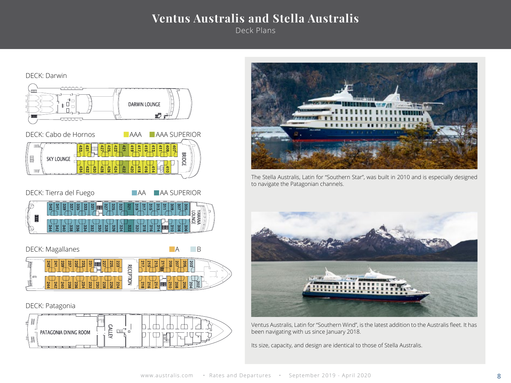## **Ventus Australis and Stella Australis**

Deck Plans





The Stella Australis, Latin for "Southern Star", was built in 2010 and is especially designed to navigate the Patagonian channels.



Ventus Australis, Latin for "Southern Wind", is the latest addition to the Australis fleet. It has been navigating with us since January 2018.

Its size, capacity, and design are identical to those of Stella Australis.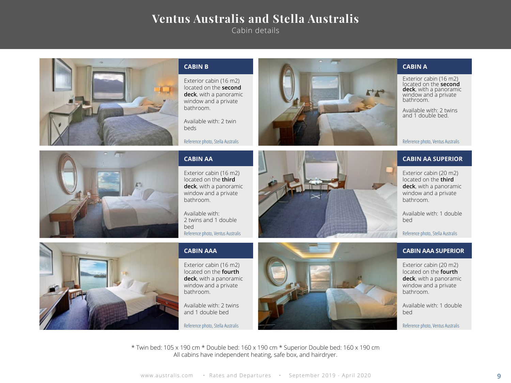## **Ventus Australis and Stella Australis**

Cabin details



#### **CABIN B**

Exterior cabin (16 m2) located on the **second deck**, with a panoramic window and a private bathroom.

Available with: 2 twin beds

Reference photo, Stella Australis



#### **CABIN A**

Exterior cabin (16 m2) located on the **second deck**, with a panoramic window and a private bathroom.

Available with: 2 twins and 1 double bed.

Reference photo, Ventus Australis



#### **CABIN AA**

Exterior cabin (16 m2) located on the **third deck**, with a panoramic window and a private bathroom.

Available with: 2 twins and 1 double bed Reference photo, Ventus Australis

#### **CABIN AAA**

Exterior cabin (16 m2) located on the **fourth deck**, with a panoramic window and a private bathroom.

Available with: 2 twins and 1 double bed



#### **CABIN AA SUPERIOR**

Exterior cabin (20 m2) located on the **third deck**, with a panoramic window and a private bathroom.

Available with: 1 double bed

Reference photo, Stella Australis

#### **CABIN AAA SUPERIOR**

Exterior cabin (20 m2) located on the **fourth deck**, with a panoramic window and a private bathroom.

Available with: 1 double bed

\* Twin bed: 105 x 190 cm \* Double bed: 160 x 190 cm \* Superior Double bed: 160 x 190 cm All cabins have independent heating, safe box, and hairdryer.